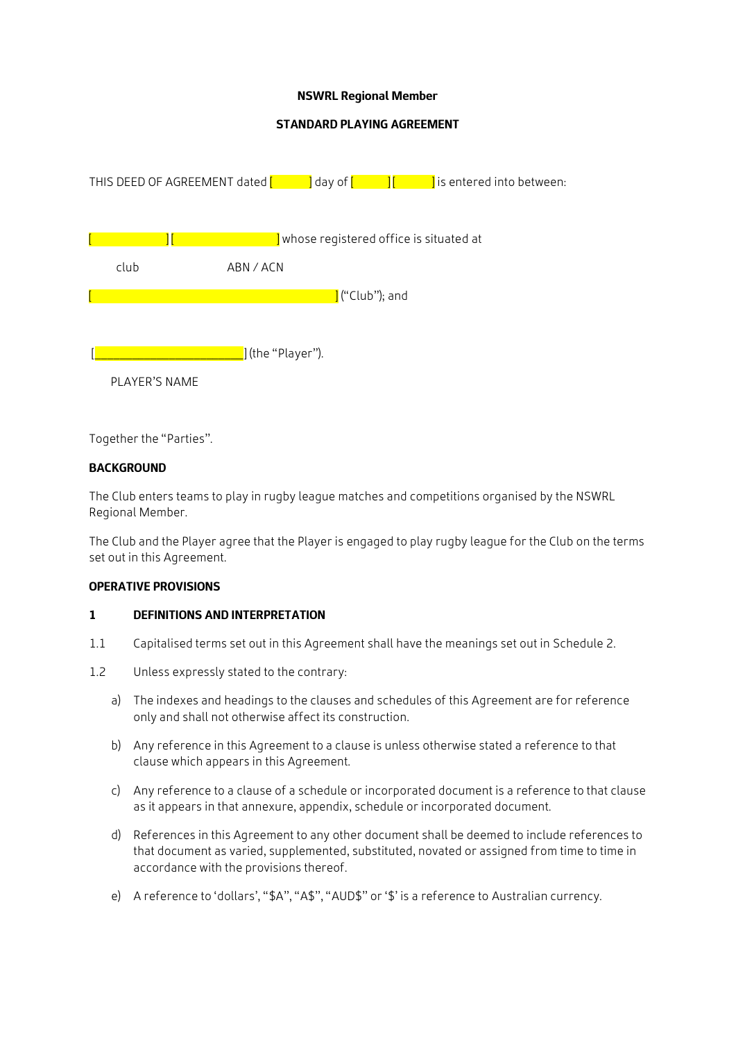### **NSWRL Regional Member**

## **STANDARD PLAYING AGREEMENT**



Together the "Parties".

### **BACKGROUND**

The Club enters teams to play in rugby league matches and competitions organised by the NSWRL Regional Member.

The Club and the Player agree that the Player is engaged to play rugby league for the Club on the terms set out in this Agreement.

#### **OPERATIVE PROVISIONS**

#### **1 DEFINITIONS AND INTERPRETATION**

- 1.1 Capitalised terms set out in this Agreement shall have the meanings set out in Schedule 2.
- 1.2 Unless expressly stated to the contrary:
	- a) The indexes and headings to the clauses and schedules of this Agreement are for reference only and shall not otherwise affect its construction.
	- b) Any reference in this Agreement to a clause is unless otherwise stated a reference to that clause which appears in this Agreement.
	- c) Any reference to a clause of a schedule or incorporated document is a reference to that clause as it appears in that annexure, appendix, schedule or incorporated document.
	- d) References in this Agreement to any other document shall be deemed to include references to that document as varied, supplemented, substituted, novated or assigned from time to time in accordance with the provisions thereof.
	- e) A reference to 'dollars', "\$A", "A\$", "AUD\$" or '\$' is a reference to Australian currency.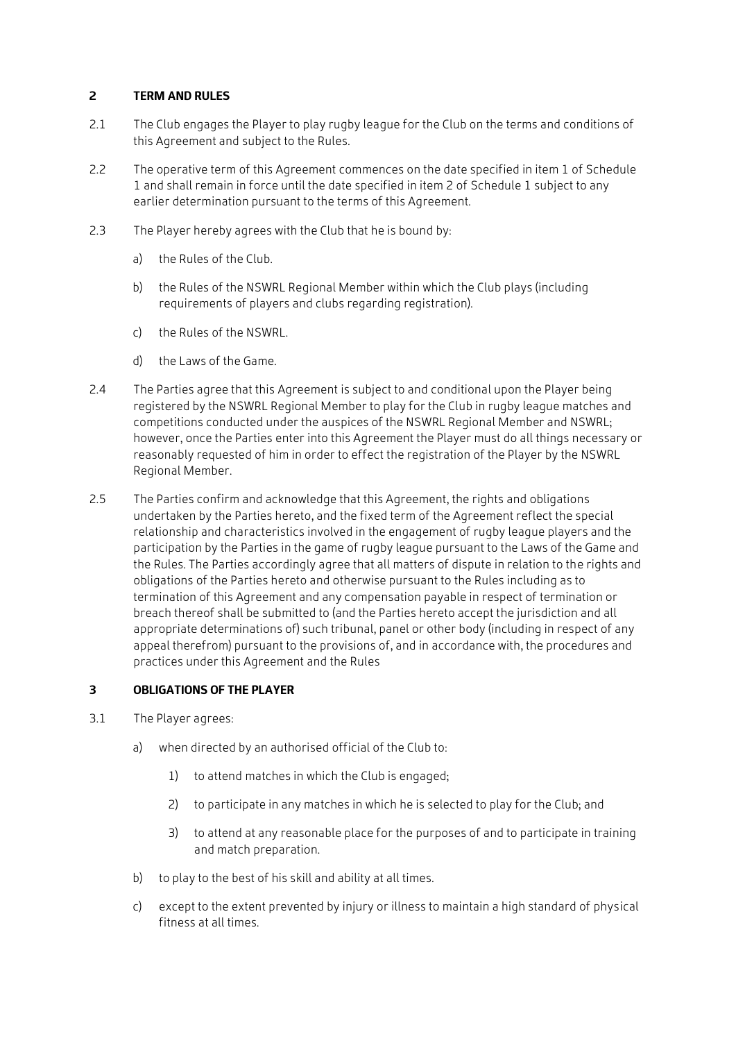### **2 TERM AND RULES**

- 2.1 The Club engages the Player to play rugby league for the Club on the terms and conditions of this Agreement and subject to the Rules.
- 2.2 The operative term of this Agreement commences on the date specified in item 1 of Schedule 1 and shall remain in force until the date specified in item 2 of Schedule 1 subject to any earlier determination pursuant to the terms of this Agreement.
- 2.3 The Player hereby agrees with the Club that he is bound by:
	- a) the Rules of the Club.
	- b) the Rules of the NSWRL Regional Member within which the Club plays (including requirements of players and clubs regarding registration).
	- c) the Rules of the NSWRL.
	- d) the Laws of the Game.
- 2.4 The Parties agree that this Agreement is subject to and conditional upon the Player being registered by the NSWRL Regional Member to play for the Club in rugby league matches and competitions conducted under the auspices of the NSWRL Regional Member and NSWRL; however, once the Parties enter into this Agreement the Player must do all things necessary or reasonably requested of him in order to effect the registration of the Player by the NSWRL Regional Member.
- 2.5 The Parties confirm and acknowledge that this Agreement, the rights and obligations undertaken by the Parties hereto, and the fixed term of the Agreement reflect the special relationship and characteristics involved in the engagement of rugby league players and the participation by the Parties in the game of rugby league pursuant to the Laws of the Game and the Rules. The Parties accordingly agree that all matters of dispute in relation to the rights and obligations of the Parties hereto and otherwise pursuant to the Rules including as to termination of this Agreement and any compensation payable in respect of termination or breach thereof shall be submitted to (and the Parties hereto accept the jurisdiction and all appropriate determinations of) such tribunal, panel or other body (including in respect of any appeal therefrom) pursuant to the provisions of, and in accordance with, the procedures and practices under this Agreement and the Rules

# **3 OBLIGATIONS OF THE PLAYER**

- 3.1 The Player agrees:
	- a) when directed by an authorised official of the Club to:
		- 1) to attend matches in which the Club is engaged;
		- 2) to participate in any matches in which he is selected to play for the Club; and
		- 3) to attend at any reasonable place for the purposes of and to participate in training and match preparation.
	- b) to play to the best of his skill and ability at all times.
	- c) except to the extent prevented by injury or illness to maintain a high standard of physical fitness at all times.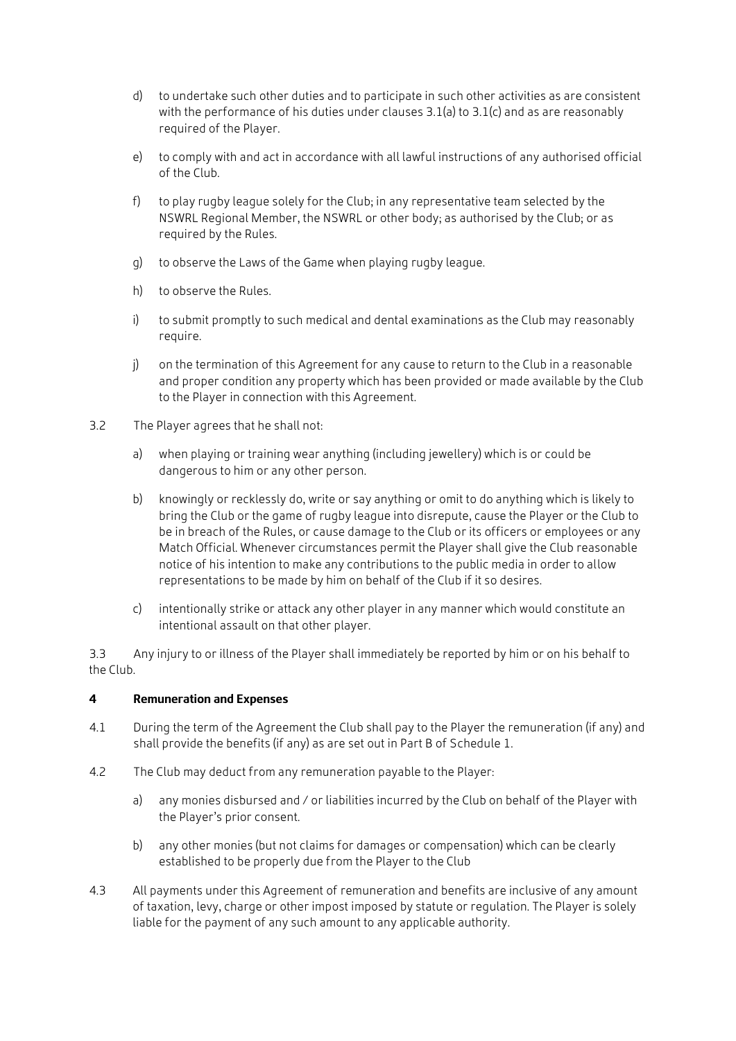- d) to undertake such other duties and to participate in such other activities as are consistent with the performance of his duties under clauses  $3.1(a)$  to  $3.1(c)$  and as are reasonably required of the Player.
- e) to comply with and act in accordance with all lawful instructions of any authorised official of the Club.
- f) to play rugby league solely for the Club; in any representative team selected by the NSWRL Regional Member, the NSWRL or other body; as authorised by the Club; or as required by the Rules.
- g) to observe the Laws of the Game when playing rugby league.
- h) to observe the Rules.
- i) to submit promptly to such medical and dental examinations as the Club may reasonably require.
- j) on the termination of this Agreement for any cause to return to the Club in a reasonable and proper condition any property which has been provided or made available by the Club to the Player in connection with this Agreement.
- 3.2 The Player agrees that he shall not:
	- a) when playing or training wear anything (including jewellery) which is or could be dangerous to him or any other person.
	- b) knowingly or recklessly do, write or say anything or omit to do anything which is likely to bring the Club or the game of rugby league into disrepute, cause the Player or the Club to be in breach of the Rules, or cause damage to the Club or its officers or employees or any Match Official. Whenever circumstances permit the Player shall give the Club reasonable notice of his intention to make any contributions to the public media in order to allow representations to be made by him on behalf of the Club if it so desires.
	- c) intentionally strike or attack any other player in any manner which would constitute an intentional assault on that other player.

3.3 Any injury to or illness of the Player shall immediately be reported by him or on his behalf to the Club.

### **4 Remuneration and Expenses**

- 4.1 During the term of the Agreement the Club shall pay to the Player the remuneration (if any) and shall provide the benefits (if any) as are set out in Part B of Schedule 1.
- 4.2 The Club may deduct from any remuneration payable to the Player:
	- a) any monies disbursed and / or liabilities incurred by the Club on behalf of the Player with the Player's prior consent.
	- b) any other monies (but not claims for damages or compensation) which can be clearly established to be properly due from the Player to the Club
- 4.3 All payments under this Agreement of remuneration and benefits are inclusive of any amount of taxation, levy, charge or other impost imposed by statute or regulation. The Player is solely liable for the payment of any such amount to any applicable authority.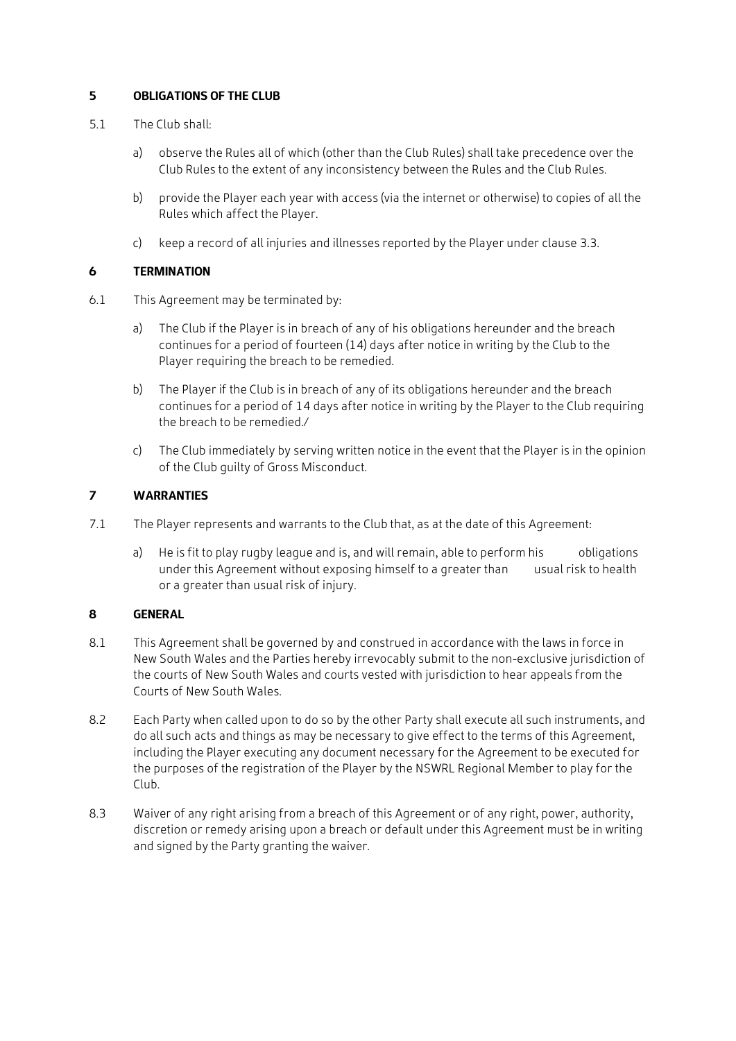# **5 OBLIGATIONS OF THE CLUB**

- 5.1 The Club shall:
	- a) observe the Rules all of which (other than the Club Rules) shall take precedence over the Club Rules to the extent of any inconsistency between the Rules and the Club Rules.
	- b) provide the Player each year with access (via the internet or otherwise) to copies of all the Rules which affect the Player.
	- c) keep a record of all injuries and illnesses reported by the Player under clause 3.3.

### **6 TERMINATION**

- 6.1 This Agreement may be terminated by:
	- a) The Club if the Player is in breach of any of his obligations hereunder and the breach continues for a period of fourteen (14) days after notice in writing by the Club to the Player requiring the breach to be remedied.
	- b) The Player if the Club is in breach of any of its obligations hereunder and the breach continues for a period of 14 days after notice in writing by the Player to the Club requiring the breach to be remedied./
	- c) The Club immediately by serving written notice in the event that the Player is in the opinion of the Club guilty of Gross Misconduct.

# **7 WARRANTIES**

- 7.1 The Player represents and warrants to the Club that, as at the date of this Agreement:
	- a) He is fit to play rugby league and is, and will remain, able to perform his obligations under this Agreement without exposing himself to a greater than usual risk to health or a greater than usual risk of injury.

### **8 GENERAL**

- 8.1 This Agreement shall be governed by and construed in accordance with the laws in force in New South Wales and the Parties hereby irrevocably submit to the non-exclusive jurisdiction of the courts of New South Wales and courts vested with jurisdiction to hear appeals from the Courts of New South Wales.
- 8.2 Each Party when called upon to do so by the other Party shall execute all such instruments, and do all such acts and things as may be necessary to give effect to the terms of this Agreement, including the Player executing any document necessary for the Agreement to be executed for the purposes of the registration of the Player by the NSWRL Regional Member to play for the Club.
- 8.3 Waiver of any right arising from a breach of this Agreement or of any right, power, authority, discretion or remedy arising upon a breach or default under this Agreement must be in writing and signed by the Party granting the waiver.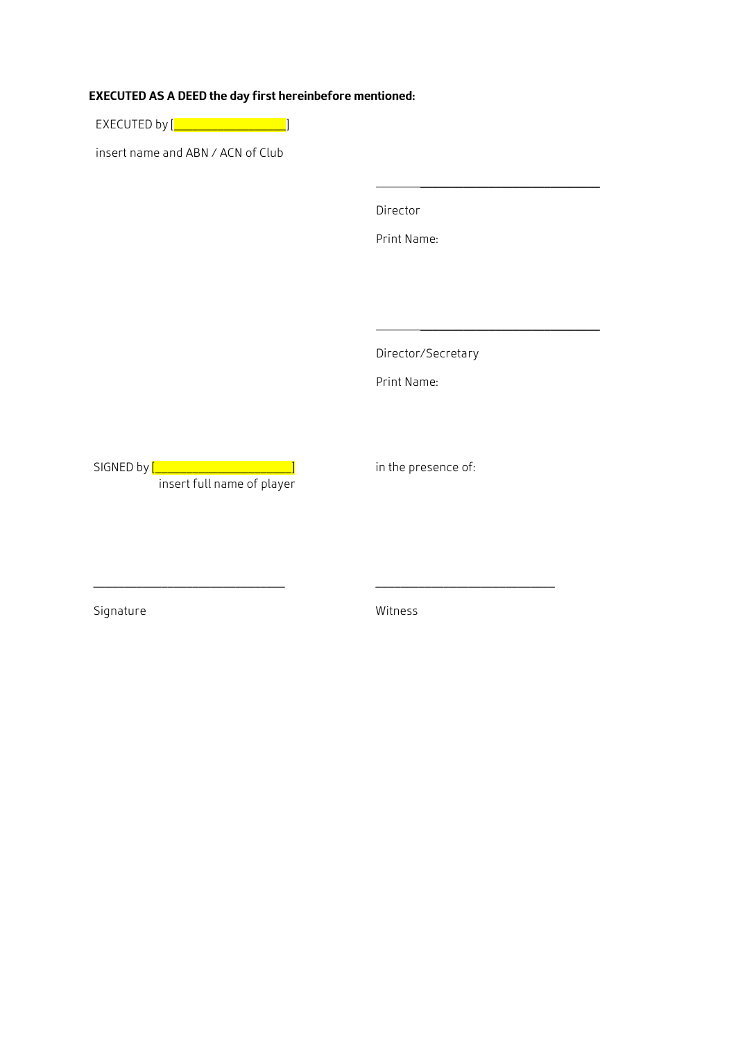# **EXECUTED AS A DEED the day first hereinbefore mentioned:**

EXECUTED by [<mark>\_\_\_\_\_\_\_\_\_\_\_\_\_\_\_\_\_\_</mark>]

insert name and ABN / ACN of Club

Director

Print Name:

\_\_\_\_\_\_\_\_\_\_\_\_\_\_\_\_\_\_\_\_\_\_\_\_\_\_\_\_\_

\_\_\_\_\_\_\_\_\_\_\_\_\_\_\_\_\_\_\_\_\_\_\_\_\_\_\_\_\_

Director/Secretary

Print Name:

SIGNED by <mark>[\_\_\_\_\_\_\_\_\_\_\_\_\_\_\_\_\_\_\_\_\_\_\_\_</mark> ] insert full name of player

\_\_\_\_\_\_\_\_\_\_\_\_\_\_\_\_\_\_\_\_\_\_\_\_\_\_\_\_\_\_\_

in the presence of:

\_\_\_\_\_\_\_\_\_\_\_\_\_\_\_\_\_\_\_\_\_\_\_\_\_\_\_\_\_

Signature

Witness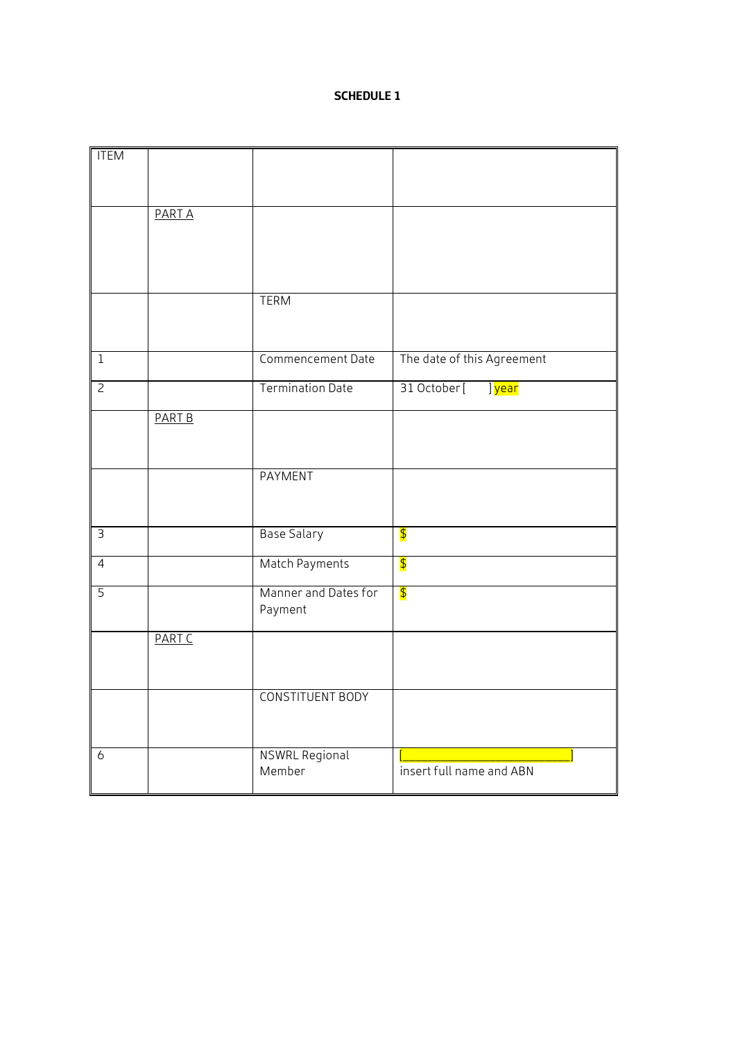# **SCHEDULE 1**

| <b>ITEM</b>    |               |                                 |                                     |
|----------------|---------------|---------------------------------|-------------------------------------|
|                |               |                                 |                                     |
|                |               |                                 |                                     |
|                | <b>PARTA</b>  |                                 |                                     |
|                |               |                                 |                                     |
|                |               |                                 |                                     |
|                |               |                                 |                                     |
|                |               | <b>TERM</b>                     |                                     |
|                |               |                                 |                                     |
| $\overline{1}$ |               | Commencement Date               |                                     |
|                |               |                                 | The date of this Agreement          |
| $\overline{2}$ |               | <b>Termination Date</b>         | 31 October [<br>] <mark>year</mark> |
|                | <b>PART B</b> |                                 |                                     |
|                |               |                                 |                                     |
|                |               |                                 |                                     |
|                |               | <b>PAYMENT</b>                  |                                     |
|                |               |                                 |                                     |
| $\overline{3}$ |               | <b>Base Salary</b>              | $\overline{\boldsymbol{\beta}}$     |
|                |               |                                 |                                     |
| $\overline{4}$ |               | Match Payments                  | $\overline{\mathbf{P}}$             |
| $\overline{5}$ |               | Manner and Dates for            | $\blacklozenge$                     |
|                |               | Payment                         |                                     |
|                | <b>PART C</b> |                                 |                                     |
|                |               |                                 |                                     |
|                |               |                                 |                                     |
|                |               | <b>CONSTITUENT BODY</b>         |                                     |
|                |               |                                 |                                     |
|                |               |                                 |                                     |
| 6              |               | <b>NSWRL Regional</b><br>Member | insert full name and ABN            |
|                |               |                                 |                                     |